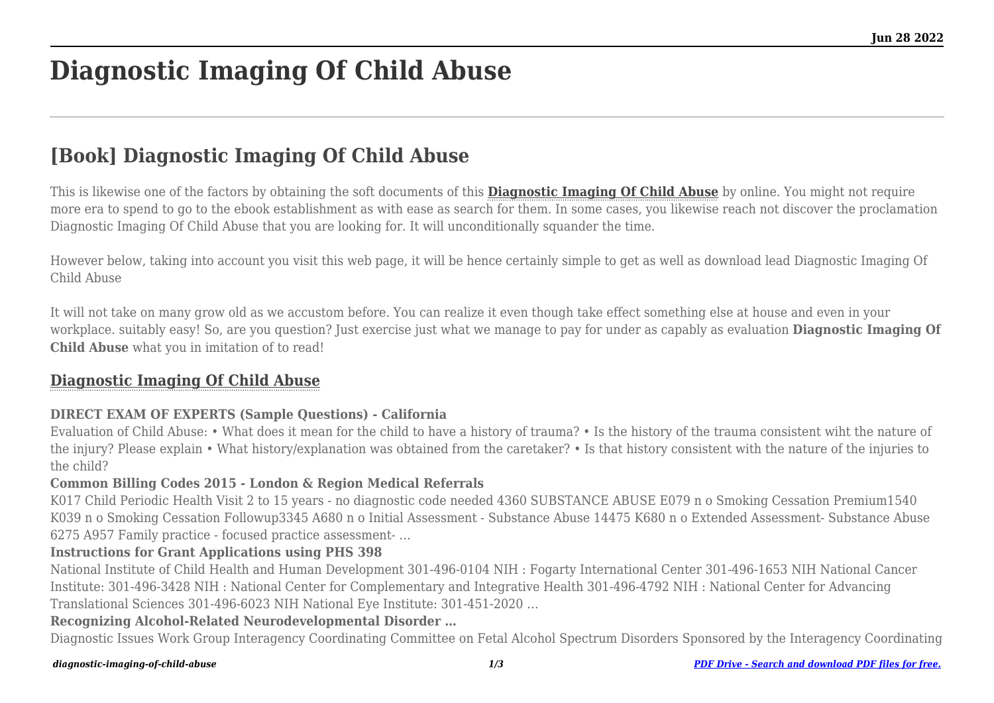# **Diagnostic Imaging Of Child Abuse**

# **[Book] Diagnostic Imaging Of Child Abuse**

This is likewise one of the factors by obtaining the soft documents of this **[Diagnostic Imaging Of Child Abuse](https://uniport.edu.ng)** by online. You might not require more era to spend to go to the ebook establishment as with ease as search for them. In some cases, you likewise reach not discover the proclamation Diagnostic Imaging Of Child Abuse that you are looking for. It will unconditionally squander the time.

However below, taking into account you visit this web page, it will be hence certainly simple to get as well as download lead Diagnostic Imaging Of Child Abuse

It will not take on many grow old as we accustom before. You can realize it even though take effect something else at house and even in your workplace. suitably easy! So, are you question? Just exercise just what we manage to pay for under as capably as evaluation **Diagnostic Imaging Of Child Abuse** what you in imitation of to read!

# **[Diagnostic Imaging Of Child Abuse](https://uniport.edu.ng/diagnostic-imaging-of-child-abuse.pdf)**

#### **DIRECT EXAM OF EXPERTS (Sample Questions) - California**

Evaluation of Child Abuse: • What does it mean for the child to have a history of trauma? • Is the history of the trauma consistent wiht the nature of the injury? Please explain • What history/explanation was obtained from the caretaker? • Is that history consistent with the nature of the injuries to the child?

#### **Common Billing Codes 2015 - London & Region Medical Referrals**

K017 Child Periodic Health Visit 2 to 15 years - no diagnostic code needed 4360 SUBSTANCE ABUSE E079 n o Smoking Cessation Premium1540 K039 n o Smoking Cessation Followup3345 A680 n o Initial Assessment - Substance Abuse 14475 K680 n o Extended Assessment- Substance Abuse 6275 A957 Family practice - focused practice assessment- …

#### **Instructions for Grant Applications using PHS 398**

National Institute of Child Health and Human Development 301-496-0104 NIH : Fogarty International Center 301-496-1653 NIH National Cancer Institute: 301-496-3428 NIH : National Center for Complementary and Integrative Health 301-496-4792 NIH : National Center for Advancing Translational Sciences 301-496-6023 NIH National Eye Institute: 301-451-2020 …

#### **Recognizing Alcohol-Related Neurodevelopmental Disorder …**

Diagnostic Issues Work Group Interagency Coordinating Committee on Fetal Alcohol Spectrum Disorders Sponsored by the Interagency Coordinating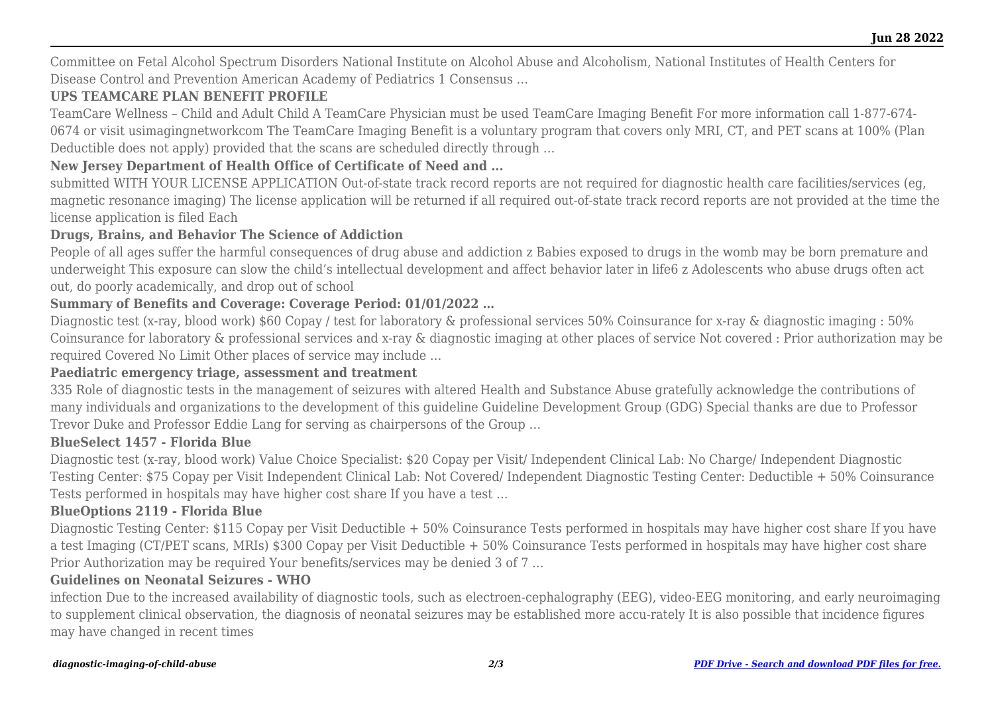Committee on Fetal Alcohol Spectrum Disorders National Institute on Alcohol Abuse and Alcoholism, National Institutes of Health Centers for Disease Control and Prevention American Academy of Pediatrics 1 Consensus …

# **UPS TEAMCARE PLAN BENEFIT PROFILE**

TeamCare Wellness – Child and Adult Child A TeamCare Physician must be used TeamCare Imaging Benefit For more information call 1‐877‐674‐ 0674 or visit usimagingnetworkcom The TeamCare Imaging Benefit is a voluntary program that covers only MRI, CT, and PET scans at 100% (Plan Deductible does not apply) provided that the scans are scheduled directly through …

# **New Jersey Department of Health Office of Certificate of Need and ...**

submitted WITH YOUR LICENSE APPLICATION Out-of-state track record reports are not required for diagnostic health care facilities/services (eg, magnetic resonance imaging) The license application will be returned if all required out-of-state track record reports are not provided at the time the license application is filed Each

#### **Drugs, Brains, and Behavior The Science of Addiction**

People of all ages suffer the harmful consequences of drug abuse and addiction z Babies exposed to drugs in the womb may be born premature and underweight This exposure can slow the child's intellectual development and affect behavior later in life6 z Adolescents who abuse drugs often act out, do poorly academically, and drop out of school

### **Summary of Benefits and Coverage: Coverage Period: 01/01/2022 …**

Diagnostic test (x-ray, blood work) \$60 Copay / test for laboratory & professional services 50% Coinsurance for x-ray & diagnostic imaging : 50% Coinsurance for laboratory & professional services and x-ray & diagnostic imaging at other places of service Not covered : Prior authorization may be required Covered No Limit Other places of service may include …

#### **Paediatric emergency triage, assessment and treatment**

335 Role of diagnostic tests in the management of seizures with altered Health and Substance Abuse gratefully acknowledge the contributions of many individuals and organizations to the development of this guideline Guideline Development Group (GDG) Special thanks are due to Professor Trevor Duke and Professor Eddie Lang for serving as chairpersons of the Group …

#### **BlueSelect 1457 - Florida Blue**

Diagnostic test (x-ray, blood work) Value Choice Specialist: \$20 Copay per Visit/ Independent Clinical Lab: No Charge/ Independent Diagnostic Testing Center: \$75 Copay per Visit Independent Clinical Lab: Not Covered/ Independent Diagnostic Testing Center: Deductible + 50% Coinsurance Tests performed in hospitals may have higher cost share If you have a test …

#### **BlueOptions 2119 - Florida Blue**

Diagnostic Testing Center: \$115 Copay per Visit Deductible + 50% Coinsurance Tests performed in hospitals may have higher cost share If you have a test Imaging (CT/PET scans, MRIs) \$300 Copay per Visit Deductible + 50% Coinsurance Tests performed in hospitals may have higher cost share Prior Authorization may be required Your benefits/services may be denied 3 of 7 …

#### **Guidelines on Neonatal Seizures - WHO**

infection Due to the increased availability of diagnostic tools, such as electroen-cephalography (EEG), video-EEG monitoring, and early neuroimaging to supplement clinical observation, the diagnosis of neonatal seizures may be established more accu-rately It is also possible that incidence figures may have changed in recent times